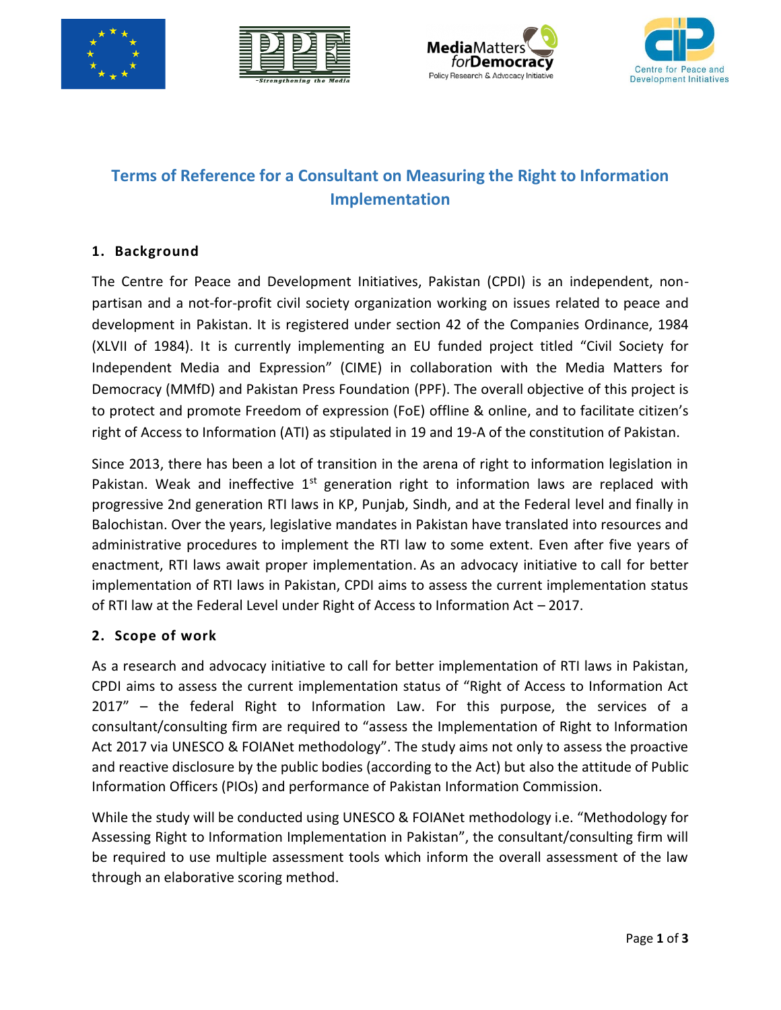







# **Terms of Reference for a Consultant on Measuring the Right to Information Implementation**

## **1. Background**

The Centre for Peace and Development Initiatives, Pakistan (CPDI) is an independent, nonpartisan and a not-for-profit civil society organization working on issues related to peace and development in Pakistan. It is registered under section 42 of the Companies Ordinance, 1984 (XLVII of 1984). It is currently implementing an EU funded project titled "Civil Society for Independent Media and Expression" (CIME) in collaboration with the Media Matters for Democracy (MMfD) and Pakistan Press Foundation (PPF). The overall objective of this project is to protect and promote Freedom of expression (FoE) offline & online, and to facilitate citizen's right of Access to Information (ATI) as stipulated in 19 and 19-A of the constitution of Pakistan.

Since 2013, there has been a lot of transition in the arena of right to information legislation in Pakistan. Weak and ineffective  $1<sup>st</sup>$  generation right to information laws are replaced with progressive 2nd generation RTI laws in KP, Punjab, Sindh, and at the Federal level and finally in Balochistan. Over the years, legislative mandates in Pakistan have translated into resources and administrative procedures to implement the RTI law to some extent. Even after five years of enactment, RTI laws await proper implementation. As an advocacy initiative to call for better implementation of RTI laws in Pakistan, CPDI aims to assess the current implementation status of RTI law at the Federal Level under Right of Access to Information Act – 2017.

#### **2. Scope of work**

As a research and advocacy initiative to call for better implementation of RTI laws in Pakistan, CPDI aims to assess the current implementation status of "Right of Access to Information Act 2017" – the federal Right to Information Law. For this purpose, the services of a consultant/consulting firm are required to "assess the Implementation of Right to Information Act 2017 via UNESCO & FOIANet methodology". The study aims not only to assess the proactive and reactive disclosure by the public bodies (according to the Act) but also the attitude of Public Information Officers (PIOs) and performance of Pakistan Information Commission.

While the study will be conducted using UNESCO & FOIANet methodology i.e. "Methodology for Assessing Right to Information Implementation in Pakistan", the consultant/consulting firm will be required to use multiple assessment tools which inform the overall assessment of the law through an elaborative scoring method.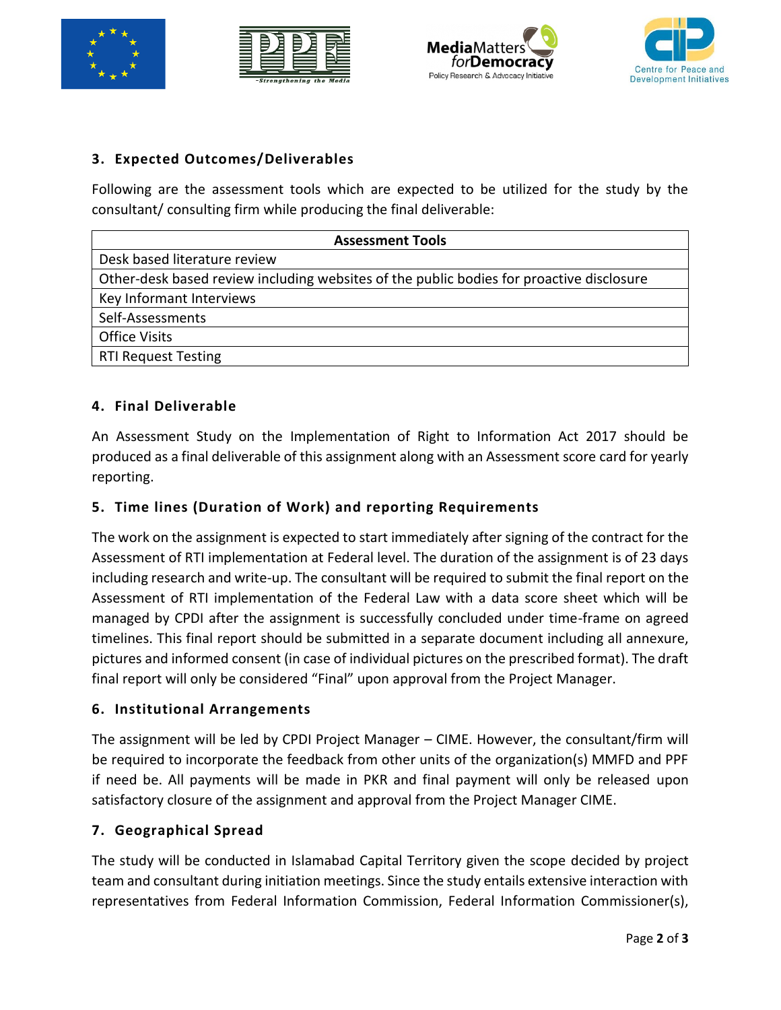







# **3. Expected Outcomes/Deliverables**

Following are the assessment tools which are expected to be utilized for the study by the consultant/ consulting firm while producing the final deliverable:

| <b>Assessment Tools</b>                                                                  |
|------------------------------------------------------------------------------------------|
| Desk based literature review                                                             |
| Other-desk based review including websites of the public bodies for proactive disclosure |
| Key Informant Interviews                                                                 |
| Self-Assessments                                                                         |
| <b>Office Visits</b>                                                                     |
| <b>RTI Request Testing</b>                                                               |

## **4. Final Deliverable**

An Assessment Study on the Implementation of Right to Information Act 2017 should be produced as a final deliverable of this assignment along with an Assessment score card for yearly reporting.

#### **5. Time lines (Duration of Work) and reporting Requirements**

The work on the assignment is expected to start immediately after signing of the contract for the Assessment of RTI implementation at Federal level. The duration of the assignment is of 23 days including research and write-up. The consultant will be required to submit the final report on the Assessment of RTI implementation of the Federal Law with a data score sheet which will be managed by CPDI after the assignment is successfully concluded under time-frame on agreed timelines. This final report should be submitted in a separate document including all annexure, pictures and informed consent (in case of individual pictures on the prescribed format). The draft final report will only be considered "Final" upon approval from the Project Manager.

#### **6. Institutional Arrangements**

The assignment will be led by CPDI Project Manager – CIME. However, the consultant/firm will be required to incorporate the feedback from other units of the organization(s) MMFD and PPF if need be. All payments will be made in PKR and final payment will only be released upon satisfactory closure of the assignment and approval from the Project Manager CIME.

#### **7. Geographical Spread**

The study will be conducted in Islamabad Capital Territory given the scope decided by project team and consultant during initiation meetings. Since the study entails extensive interaction with representatives from Federal Information Commission, Federal Information Commissioner(s),